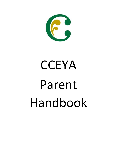

# **CCEYA** Parent Handbook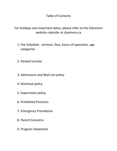Table of Contents

For holidays and important dates, please refer to the Clanmore website calendar at clanmore.ca

- 1. Fee Schedule services, fees, hours of operation, age categories
- 2. Packed lunches
- 3. Admissions and Wait List policy
- 4. Dismissal policy
- 5. Supervision policy
- 6. Prohibited Practices
- 7. Emergency Procedures
- 8. Parent Concerns
- 9. Program Statement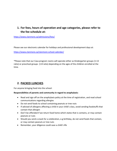## **1. For fees, hours of operation and age categories, please refer to the fee schedule at:**

<https://www.clanmore.ca/admissions/fees/>

Please see our electronic calendar for holidays and professional development days at:

<https://www.clanmore.ca/clanmore-school-calendar/>

\*Please note that our Casa program rooms will operate either as Kindergarten groups (1:13 ratio) or preschool groups (1:8 ratio) depending on the ages of the children enrolled at the time.

### **2. PACKED LUNCHES**

For anyone bringing food into the school:

#### **Responsibilities of parents and community in regard to anaphylaxis:**

- Read and sign off on the anaphylaxis policy at the time of registration, and read school communications regarding allergies
- Do not send foods to school containing peanuts or tree nuts
- If advised of allergens affecting a child in your child's class, avoid sending foodstuffs that contain that allergen
- Don't be offended if we return food home which states that is contains, or may contain peanuts or nuts
- Should you send a snack for a celebration, e.g birthday, do not send foods that contain, or may contain peanuts or tree nuts
- Remember, your diligence could save a child's life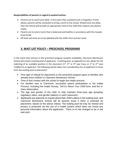#### **Responsibilities of parents in regard to packed lunches:**

- Parents are to send lunch *daily.* In the event that a packed lunch is forgotten, if time allows, parents will be contacted to bring a lunch to the school. Should time not allow, then the School will provide an appropriate meal to the child that respects any dietary needs.
- Parents are to send a lunch that is balanced and healthy in accordance with the Canada Food Guide
- All food and drink are to be labelled with the child's first and last name

## **3. WAIT LIST POLICY – PRESCHOOL PROGRAMS**

In the event that interest in the preschool program exceeds availability, Clanmore Montessori School will create a waiting pool of applicants. A waiting pool, as opposed to a list, allows for the matching of an available position in the classroom ( $1<sup>st</sup>$ ,  $2<sup>nd</sup>$  or  $3<sup>rd</sup>$  year Casa, or  $1<sup>st</sup>$  or  $2<sup>nd</sup>$  year Toddler) to an applicant. The following will be taken into consideration for an applicant to move from the waiting pool to placement:

- First right of refusal for placement in the preschool program goes to families who already have children in Clanmore Montessori School.
- Time of first contact with the school to begin the intake process.
- For families new to Clanmore, successful parent participation in the Intake Process, including the Intake Survey, *Tell Us About Your Child* form, and the inclass observation.
- The age and gender of the child, to help maintain three-year age grouping, regulatory ratios, and gender balance in each classroom.
- Applicants are welcome to inquire about their child's status in the waiting pool, and Clanmore Montessori School will let parents know if there is potential for placement, based on the above criteria. The waiting pool list may be viewed and privacy is protected via the use of a coded system which does not reveal any personal information about the applicants. There is no fee charged to be in the wait pool.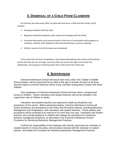## **3. DISMISSAL OF A CHILD FROM CLANMORE**

At Clanmore we make every effort to work with and serve a child and their family, which includes:

- $\triangleright$  Everyday classwork with the child
- $\triangleright$  Regularly scheduled telephone calls, emails and meetings with the family
- $\triangleright$  Increased observation and communication in the form of consultation with program coordinator, auxiliary staff, telephone calls and extraordinary in-person meetings
- $\triangleright$  Written records of all of the above are maintained

In the event that we find a breakdown in the relationship between the school and the family and we find that we can no longer serve the child, we reserve the right to terminate the relationship, returning any remaining tuition fees to the end of the school year.

## **4. SUPERVISION**

Clanmore Montessori School will assure that every child, from Toddler to Middle School student, will be supervised by an adult of the age of at least 18 years at all times, and will require a criminal reference check of any volunteer having direct contact with these children.

Only employees of Clanmore Montessori School will have direct, unsupervised access to children. Parent volunteers and student teachers will not be included in the supervision ratio of children to adults.

Volunteers and student teachers are expected to abide by all policies and procedures of the school. Before placement begins, Clanmore Montessori School will review all policies and procedures in the Policy and Procedure Manual, including Behaviour Management and Anaphylaxis, with volunteers and student teachers. These policies and procedures will be reviewed at an interval of no more than one year. Volunteers and student teachers who provide guidance to children will undergo the procedure for monitoring behavior management practices, as described in the Clanmore Montessori School Procedure for Monitoring Behaviour Management Practices.

It will be the responsibility of the employee who directly supervises the volunteer or student teacher to review the policy and procedure manual with the volunteer or student teacher, and initiate the Procedure for Monitoring Behaviour Management Practices.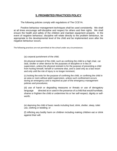#### **5. PROHIBITED PRACTICES POLICY**

The following policies comply with regulations of The CCEYA.

Positive behaviour management techniques shall be used consistently. We shall at all times encourage self-discipline and respect for others and their rights. We shall ensure the health and safety of the children and maintain equipment properly. In the event of negative behaviour, discipline will relate directly to the problem behaviour, be appropriate to the developmental level of the child and be implemented soon after the negative behaviour occurs.

The following practices are not permitted at the school under any circumstances:

(a) corporal punishment of the child;

(b) physical restraint of the child, such as confining the child to a high chair, car seat, stroller or other device for the purposes of discipline or in lieu of supervision, unless the physical restraint is for the purpose of preventing a child from hurting himself, herself or someone else, and is used only as a last resort and only until the risk of injury is no longer imminent;

(c) locking the exits for the purpose of confining the child, or confining the child in an area or room without adult supervision, unless such confinement occurs during an emergency and is required as part of the emergency management policies and procedures;

(d) use of harsh or degrading measures or threats or use of derogatory language directed at or used in the presence of a child that would humiliate, shame or frighten the child or undermine his or her self-respect, dignity or selfworth;

(e) depriving the child of basic needs including food, drink, shelter, sleep, toilet use, clothing or bedding; or

(f) inflicting any bodily harm on children including making children eat or drink against their will.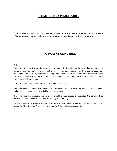## **6. EMERGENCY PROCEDURES**

Clanmore Montessori School has detailed policies and procedures for emergencies. In the event of an emergency, parents will be notified by telephone and given further instructions.

## **7. PARENT CONCERNS**

#### Policy

Clanmore Montessori School is committed to communicating with families regarding any issues of concern. Should a parent have a concern, the parent should be advised to contact the appropriate person via telephone or [teachers@clanmore.ca.](mailto:teachers@clanmore.ca) The parent should include only a very brief description of the concern, not revealing any personal details of anyone involved. A member of staff will respond to the concern within 2 business days.

Concerns about the Suspected Abuse or Neglect of a Child

Everyone, including members of the public and professionals who work closely with children, is required by law to report suspected cases of child abuse or neglect.

If a parent/guardian expresses concerns that a child is being abused or neglected, the parent will be advised to contact the [local](http://www.children.gov.on.ca/htdocs/English/childrensaid/reportingabuse/CASLocations.aspx) [Children's Aid Society](http://www.children.gov.on.ca/htdocs/English/childrensaid/reportingabuse/CASLocations.aspx) (CAS) directly.

Persons who become aware of such concerns are also responsible for reporting this information to CAS as per the "Duty to Report" requirement under the *Child and Family Services Act*.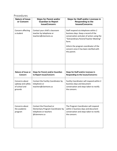## Procedures

| <b>Nature of Issue</b><br>or Concern                            | <b>Steps for Parent and/or</b><br><b>Guardian to Report</b><br><b>Issue/Concern:</b>                   | <b>Steps for Staff and/or Licensee in</b><br><b>Responding to the</b><br><b>Issues/Concerns:</b>                                                                                                                                                                               |
|-----------------------------------------------------------------|--------------------------------------------------------------------------------------------------------|--------------------------------------------------------------------------------------------------------------------------------------------------------------------------------------------------------------------------------------------------------------------------------|
| Concern affecting<br>a student                                  | Contact your child's classroom<br>teacher by telephone or<br>teachers@clanmore.ca                      | Staff respond via telephone within 2<br>business days. Keep a record of the<br>conversation and plan of action using the<br>"Extraordinary Parent/Teacher Meeting"<br>form.<br>Inform the program coordinator of the<br>concern once it has been clarified with<br>the parent. |
| <b>Nature of Issue or</b><br>Concern                            | <b>Steps for Parent and/or Guardian</b><br>to Report Issue/Concern:                                    | Steps for Staff and/or Licensee in<br>Responding to the Issues/Concerns:                                                                                                                                                                                                       |
| Concerns about<br>upkeep and safety<br>of school and<br>grounds | Contact the Facility Coordinator by<br>telephone or<br>teachers@clanmore.ca                            | Facility Coordinator will respond within 2<br>business days and document<br>conversation and steps taken to rectify<br>the concern.                                                                                                                                            |
| Concerns about<br>the academic<br>program                       | Contact the Preschool or<br>Elementary Program Coordinator by<br>telephone or teachers<br>@clanmore.ca | The Program Coordinator will respond<br>within 2 business days and document<br>conversation and steps taken to rectify<br>the concern.                                                                                                                                         |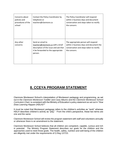| Concerns about<br>policies and<br>procedures of the<br>school | Contact the Policy Coordinator by<br>telephone or<br>teachers@clanmore.ca                                                                       | The Policy Coordinator will respond<br>within 2 business days and document<br>conversation and steps taken to rectify<br>the concern.     |
|---------------------------------------------------------------|-------------------------------------------------------------------------------------------------------------------------------------------------|-------------------------------------------------------------------------------------------------------------------------------------------|
| Any other<br>concerns                                         | Send an email to<br>teachers@clanmore.ca with a brief<br>description of the issue and ask that<br>it be forwarded to the appropriate<br>person. | The appropriate person will respond<br>within 2 business days and document the<br>conversation and steps taken to rectify<br>the concern. |

# **8. CCEYA PROGRAM STATEMENT**

Clanmore Montessori School's interpretation of Montessori pedagogy and programming, as set out in the *Clanmore Montessori Toddler* and *Casa Albums* and the *Clanmore Montessori School Curriculum Chart,* is consistent with the Ministry of Education's policy statement as set out in *"How Does Learning Happen (HDLH)?"* 

It must be noted that Montessori pedagogy refers to the children's activities as "work" whereas HDLH describes children's activity as "play." From the child's perspective, these two terms are one and the same.

Clanmore Montessori School will review the program statement with staff and volunteers annually or whenever there is an amendment to the statement.

Clanmore Montessori School believes that all children are competent, capable, curious and rich in potential. The Ministry Program Statement describes our goals for the children and the approaches used to meet those goals. The health, safety, nutrition and well-being of the children are diligently met under the requirements of O.Reg 137/15.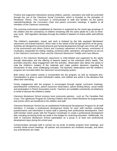Positive and supportive interactions among children, parents, volunteers and staff are promoted through the use of the *Clanmore Social Curriculum,* which is founded on the principles of *Restitution Theory*. This curriculum is communicated to staff and families via the parent calendar/handbook, the *Curriculum Chart* and parent curriculum meetings. It applies to all members of the Clanmore community.

The nurturing environment established at Clanmore is supported by the mixed age groupings of the children and the consistency of children remaining with the same adults for a two to threeyear cycle. Self-regulation develops through the children's freedom of choice within well-defined limits.

The children's exploration, inquiry and work is fostered by the fully equipped Montessori classrooms and trained teachers, which cater to the needs of the full age spectrum of the group. Activities are designed to promote physical and mental development through care of the self, care of the environment and others (Grace and Courtesy) refinement of the senses, enrichment of vocabulary, preparation for writing, reading, numeracy skills, operations, and geometry as set out in the *Clanmore Curriculum Chart*, and *the Clanmore Montessori Toddler* and *Casa Albums.*

Activity in the Clanmore Montessori classrooms is child-initiated and supported by the adults through observation and the offering of lessons based on the individual child's needs. This promotes peaceful, deep engagement with the activities. Observation also allows the adults to note the children's mastery of the materials and make positive decisions regarding the introduction of new, more challenging concepts. The teachers' observations and the children's progress are recorded within the classroom record-keeping system.

Both indoor and outdoor activity is incorporated into the program, as well as rest/quiet time. Consideration is given to each individual's needs, and children are active in the decisions that affect their well-being.

Family engagement with the program is encouraged through regular curriculum meetings, parent/teacher conferences, parent classroom observation, parent lending library, social media and participation in Parent Association events. Teachers are available consistently via telephone or email to discuss the children's needs.

Clanmore Montessori School involves local community partners , such as The Canadian Red Cross, The Lighthouse Program for Grieving Children and Kerr Street Ministries for programming and events which are beneficial to the children and staff.

Clanmore Montessori School has an established Professional Development Program for all staff members. It includes a professional development binder for each staff member containing questionnaires and information to assist staff in planning their professional development. Each staff member meets yearly with the Program Coordinator to create a professional development plan including accessing funds set aside in the budget for continuing education. Additionally, the staff of Clanmore Montessori School participates as a group in at least two professional development days during the school year.

Communication amongst staff is carried out via email, bi-weekly program level meetings, and monthly whole-school meetings. All policies and procedures are reviewed annually, and when any amendments are made.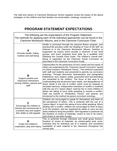The staff and owners of Clanmore Montessori School regularly review the impact of the above strategies on the children and their families via conversation, meetings, surveys etc.

# **PROGRAM STATEMENT EXPECTATIONS**

The following are the expectations of the Program Statement. The methods for applying each of the individual approaches can be found in the Clanmore Montessori Albums, and in the Clanmore Curriculum Chart.

| A<br>Promote Health, Safety,<br>nutrition and well-being                                                                 | Health is promoted through the physical fitness program, and<br>practical life activities under the heading of "Care of the Self" as<br>referred to in the Clanmore Montessori Albums. Nutrition is<br>supported via snacks which provide a minimum of two food<br>groups, and lunch prepared fresh daily by a qualified chef<br>following the Canada Food Guide. The children's overall well-<br>being is supported via the Clanmore Social Curriculum as<br>described in the Clanmore Curriculum Guide.                                                                                                                                                                                                                                                                                                                                                                                                                                             |
|--------------------------------------------------------------------------------------------------------------------------|-------------------------------------------------------------------------------------------------------------------------------------------------------------------------------------------------------------------------------------------------------------------------------------------------------------------------------------------------------------------------------------------------------------------------------------------------------------------------------------------------------------------------------------------------------------------------------------------------------------------------------------------------------------------------------------------------------------------------------------------------------------------------------------------------------------------------------------------------------------------------------------------------------------------------------------------------------|
| В<br>Support positive and<br>responsive interactions<br>among children, parents and<br>staff                             | Opportunities for the awareness of one's needs and the needs of<br>others are supported by the "Clanmore Social Curriculum" based<br>on Diane Gossen's "Restitution Theory." This method is practised<br>with staff and students and presented to parents via curriculum<br>evenings. Through discussion dramatization and pictographs<br>helpfulness, love, respect, safety, purposeful work and belonging<br>are presented to the children. The focus of this area is on<br>understanding that all persons have needs, and disequilibrium of<br>these needs is the root of conflict, which must be repaired to<br>reinstate harmony. Independent resolution of conflict is modeled<br>with the use of a "peace object" used by two or more children to<br>define the taking of turns while speaking to resolve a conflict.<br>Staff are trained in "Restitution Theory" and parents are<br>introduced to the method via parent curriculum evenings. |
| Encourage the children to<br>interact and communicate in<br>a positive way and support<br>their ability to self-regulate | Children are encouraged to speak for themselves and listen to<br>the perspective of others. This is achieved with the use of a<br>"peace object" to teach the taking of turns while speaking. When<br>dealing with a conflict, children are encouraged to think of ways<br>to fix the problem, and are supported by adults to carry out any<br>tasks related to fixing the problem. Self-regulation is practiced via<br>the freedom of choice of materials, choice to rest or be active,<br>and choice to eat when hungry.                                                                                                                                                                                                                                                                                                                                                                                                                            |
| D<br>Foster the children's<br>exploration, play and inquiry                                                              | This is achieved through individual and small group lessons,<br>freedom of choice of materials, an uninterrupted work cycle,<br>unlimited time for individual use of a material, and consistent<br>availability of each material in the classroom throughout the<br>school year.                                                                                                                                                                                                                                                                                                                                                                                                                                                                                                                                                                                                                                                                      |